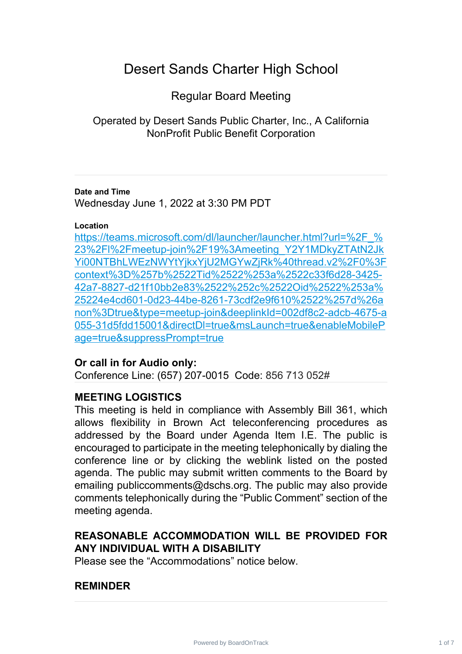# Desert Sands Charter High School

Regular Board Meeting

Operated by Desert Sands Public Charter, Inc., A California NonProfit Public Benefit Corporation

### **Date and Time**

Wednesday June 1, 2022 at 3:30 PM PDT

## **Location**

https://teams.microsoft.com/dl/launcher/launcher.html?url=%2F % 23%2Fl%2Fmeetup-join%2F19%3Ameeting\_Y2Y1MDkyZTAtN2Jk [Yi00NTBhLWEzNWYtYjkxYjU2MGYwZjRk%40thread.v2%2F0%3F](https://teams.microsoft.com/dl/launcher/launcher.html?url=%2F_%23%2Fl%2Fmeetup-join%2F19%3Ameeting_Y2Y1MDkyZTAtN2JkYi00NTBhLWEzNWYtYjkxYjU2MGYwZjRk%40thread.v2%2F0%3Fcontext%3D%257b%2522Tid%2522%253a%2522c33f6d28-3425-42a7-8827-d21f10bb2e83%2522%252c%2522Oid%2522%253a%25224e4cd601-0d23-44be-8261-73cdf2e9f610%2522%257d%26anon%3Dtrue&type=meetup-join&deeplinkId=002df8c2-adcb-4675-a055-31d5fdd15001&directDl=true&msLaunch=true&enableMobilePage=true&suppressPrompt=true) context%3D%257b%2522Tid%2522%253a%2522c33f6d28-3425- [42a7-8827-d21f10bb2e83%2522%252c%2522Oid%2522%253a%](https://teams.microsoft.com/dl/launcher/launcher.html?url=%2F_%23%2Fl%2Fmeetup-join%2F19%3Ameeting_Y2Y1MDkyZTAtN2JkYi00NTBhLWEzNWYtYjkxYjU2MGYwZjRk%40thread.v2%2F0%3Fcontext%3D%257b%2522Tid%2522%253a%2522c33f6d28-3425-42a7-8827-d21f10bb2e83%2522%252c%2522Oid%2522%253a%25224e4cd601-0d23-44be-8261-73cdf2e9f610%2522%257d%26anon%3Dtrue&type=meetup-join&deeplinkId=002df8c2-adcb-4675-a055-31d5fdd15001&directDl=true&msLaunch=true&enableMobilePage=true&suppressPrompt=true) 25224e4cd601-0d23-44be-8261-73cdf2e9f610%2522%257d%26a [non%3Dtrue&type=meetup-join&deeplinkId=002df8c2-adcb-4675-a](https://teams.microsoft.com/dl/launcher/launcher.html?url=%2F_%23%2Fl%2Fmeetup-join%2F19%3Ameeting_Y2Y1MDkyZTAtN2JkYi00NTBhLWEzNWYtYjkxYjU2MGYwZjRk%40thread.v2%2F0%3Fcontext%3D%257b%2522Tid%2522%253a%2522c33f6d28-3425-42a7-8827-d21f10bb2e83%2522%252c%2522Oid%2522%253a%25224e4cd601-0d23-44be-8261-73cdf2e9f610%2522%257d%26anon%3Dtrue&type=meetup-join&deeplinkId=002df8c2-adcb-4675-a055-31d5fdd15001&directDl=true&msLaunch=true&enableMobilePage=true&suppressPrompt=true) 055-31d5fdd15001&directDl=true&msLaunch=true&enableMobileP [age=true&suppressPrompt=true](https://teams.microsoft.com/dl/launcher/launcher.html?url=%2F_%23%2Fl%2Fmeetup-join%2F19%3Ameeting_Y2Y1MDkyZTAtN2JkYi00NTBhLWEzNWYtYjkxYjU2MGYwZjRk%40thread.v2%2F0%3Fcontext%3D%257b%2522Tid%2522%253a%2522c33f6d28-3425-42a7-8827-d21f10bb2e83%2522%252c%2522Oid%2522%253a%25224e4cd601-0d23-44be-8261-73cdf2e9f610%2522%257d%26anon%3Dtrue&type=meetup-join&deeplinkId=002df8c2-adcb-4675-a055-31d5fdd15001&directDl=true&msLaunch=true&enableMobilePage=true&suppressPrompt=true)

# **Or call in for Audio only:**

Conference Line: (657) 207-0015 Code: 856 713 052#

# **MEETING LOGISTICS**

This meeting is held in compliance with Assembly Bill 361, which allows flexibility in Brown Act teleconferencing procedures as addressed by the Board under Agenda Item I.E. The public is encouraged to participate in the meeting telephonically by dialing the conference line or by clicking the weblink listed on the posted agenda. The public may submit written comments to the Board by emailing publiccomments@dschs.org. The public may also provide comments telephonically during the "Public Comment" section of the meeting agenda.

# **REASONABLE ACCOMMODATION WILL BE PROVIDED FOR ANY INDIVIDUAL WITH A DISABILITY**

Please see the "Accommodations" notice below.

# **REMINDER**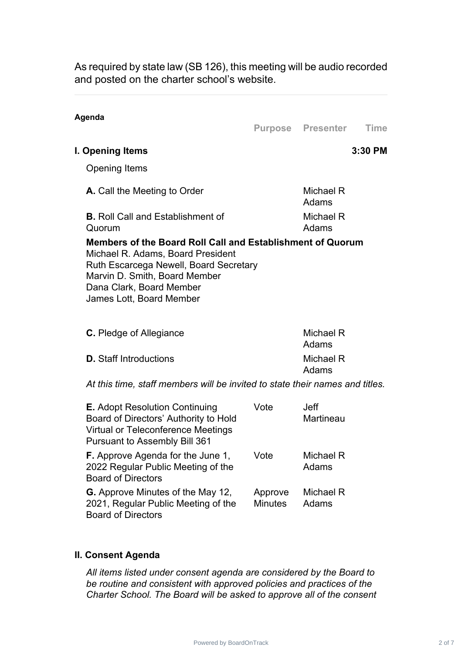As required by state law (SB 126), this meeting will be audio recorded and posted on the charter school's website.

#### **Agenda**

**Purpose Presenter Time**

## **I. Opening Items 3:30 PM**

Opening Items

| Mambara of the Peard Pall Call and Establishment of Quar |                    |
|----------------------------------------------------------|--------------------|
| Quorum                                                   | Adams              |
| <b>B.</b> Roll Call and Establishment of                 | Michael R          |
| A. Call the Meeting to Order                             | Michael R<br>Adams |
|                                                          |                    |

**Members of the Board Roll Call and Establishment of Quorum** Michael R. Adams, Board President Ruth Escarcega Newell, Board Secretary Marvin D. Smith, Board Member Dana Clark, Board Member James Lott, Board Member

| <b>C.</b> Pledge of Allegiance | Michael R<br>Adams |
|--------------------------------|--------------------|
| <b>D.</b> Staff Introductions  | Michael R<br>Adams |

*At this time, staff members will be invited to state their names and titles.*

| <b>E.</b> Adopt Resolution Continuing<br>Board of Directors' Authority to Hold<br>Virtual or Teleconference Meetings<br><b>Pursuant to Assembly Bill 361</b> | Vote                      | Jeff<br><b>Martineau</b> |
|--------------------------------------------------------------------------------------------------------------------------------------------------------------|---------------------------|--------------------------|
| <b>F.</b> Approve Agenda for the June 1,<br>2022 Regular Public Meeting of the<br><b>Board of Directors</b>                                                  | Vote                      | Michael R<br>Adams       |
| <b>G.</b> Approve Minutes of the May 12,<br>2021, Regular Public Meeting of the<br><b>Board of Directors</b>                                                 | Approve<br><b>Minutes</b> | Michael R<br>Adams       |

# **II. Consent Agenda**

*All items listed under consent agenda are considered by the Board to be routine and consistent with approved policies and practices of the Charter School. The Board will be asked to approve all of the consent*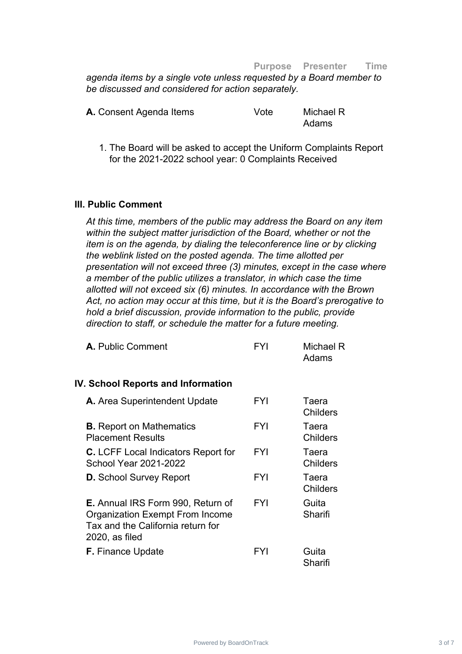#### **Purpose Presenter Time**

*agenda items by a single vote unless requested by a Board member to be discussed and considered for action separately.*

| A. Consent Agenda Items | Vote | Michael R |
|-------------------------|------|-----------|
|                         |      | Adams     |

1. The Board will be asked to accept the Uniform Complaints Report for the 2021-2022 school year: 0 Complaints Received

#### **III. Public Comment**

*At this time, members of the public may address the Board on any item within the subject matter jurisdiction of the Board, whether or not the item is on the agenda, by dialing the teleconference line or by clicking the weblink listed on the posted agenda. The time allotted per presentation will not exceed three (3) minutes, except in the case where a member of the public utilizes a translator, in which case the time allotted will not exceed six (6) minutes. In accordance with the Brown Act, no action may occur at this time, but it is the Board's prerogative to hold a brief discussion, provide information to the public, provide direction to staff, or schedule the matter for a future meeting.*

| <b>IV. School Reports and Information</b><br><b>FYI</b><br>A. Area Superintendent Update<br><b>FYI</b><br><b>B.</b> Report on Mathematics               | Michael R<br>Adams       |
|---------------------------------------------------------------------------------------------------------------------------------------------------------|--------------------------|
|                                                                                                                                                         |                          |
|                                                                                                                                                         | Taera<br><b>Childers</b> |
| <b>Placement Results</b>                                                                                                                                | Taera<br><b>Childers</b> |
| <b>FYI</b><br><b>C.</b> LCFF Local Indicators Report for<br><b>School Year 2021-2022</b>                                                                | Taera<br><b>Childers</b> |
| FYI<br><b>D.</b> School Survey Report                                                                                                                   | Taera<br><b>Childers</b> |
| <b>FYI</b><br><b>E.</b> Annual IRS Form 990, Return of<br><b>Organization Exempt From Income</b><br>Tax and the California return for<br>2020, as filed | Guita<br>Sharifi         |
| <b>F.</b> Finance Update<br>FYI                                                                                                                         | Guita<br>Sharifi         |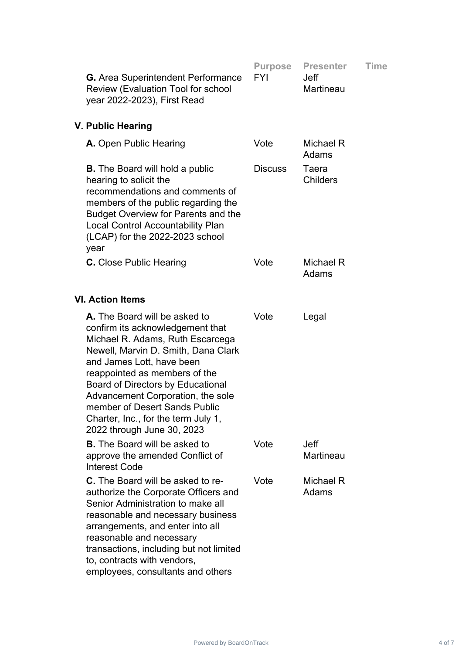| <b>G.</b> Area Superintendent Performance<br>Review (Evaluation Tool for school<br>year 2022-2023), First Read                                                                                                                                                                                                                                                                             | <b>Purpose</b><br><b>FYI</b> | <b>Presenter</b><br><b>Jeff</b><br>Martineau | Time |
|--------------------------------------------------------------------------------------------------------------------------------------------------------------------------------------------------------------------------------------------------------------------------------------------------------------------------------------------------------------------------------------------|------------------------------|----------------------------------------------|------|
| V. Public Hearing                                                                                                                                                                                                                                                                                                                                                                          |                              |                                              |      |
| A. Open Public Hearing                                                                                                                                                                                                                                                                                                                                                                     | Vote                         | Michael R<br>Adams                           |      |
| <b>B.</b> The Board will hold a public<br>hearing to solicit the<br>recommendations and comments of<br>members of the public regarding the<br><b>Budget Overview for Parents and the</b><br><b>Local Control Accountability Plan</b><br>(LCAP) for the 2022-2023 school<br>year                                                                                                            | <b>Discuss</b>               | Taera<br><b>Childers</b>                     |      |
| <b>C.</b> Close Public Hearing                                                                                                                                                                                                                                                                                                                                                             | Vote                         | Michael R<br>Adams                           |      |
| <b>VI. Action Items</b>                                                                                                                                                                                                                                                                                                                                                                    |                              |                                              |      |
| A. The Board will be asked to<br>confirm its acknowledgement that<br>Michael R. Adams, Ruth Escarcega<br>Newell, Marvin D. Smith, Dana Clark<br>and James Lott, have been<br>reappointed as members of the<br>Board of Directors by Educational<br>Advancement Corporation, the sole<br>member of Desert Sands Public<br>Charter, Inc., for the term July 1,<br>2022 through June 30, 2023 | Vote                         | Legal                                        |      |
| <b>B.</b> The Board will be asked to<br>approve the amended Conflict of<br><b>Interest Code</b>                                                                                                                                                                                                                                                                                            | Vote                         | <b>Jeff</b><br><b>Martineau</b>              |      |
| <b>C.</b> The Board will be asked to re-<br>authorize the Corporate Officers and<br>Senior Administration to make all<br>reasonable and necessary business<br>arrangements, and enter into all<br>reasonable and necessary<br>transactions, including but not limited<br>to, contracts with vendors,<br>employees, consultants and others                                                  | Vote                         | Michael R<br>Adams                           |      |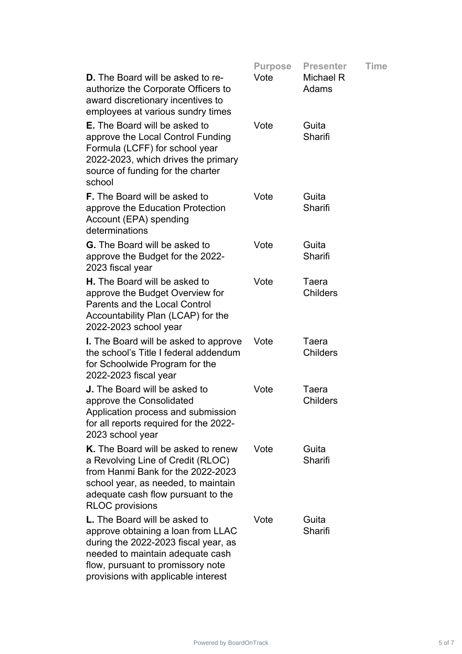|                                                                                                                                                                                                                                    | <b>Purpose</b> | <b>Presenter</b>         | <b>Time</b> |
|------------------------------------------------------------------------------------------------------------------------------------------------------------------------------------------------------------------------------------|----------------|--------------------------|-------------|
| <b>D.</b> The Board will be asked to re-<br>authorize the Corporate Officers to<br>award discretionary incentives to<br>employees at various sundry times                                                                          | Vote           | Michael R<br>Adams       |             |
| <b>E.</b> The Board will be asked to<br>approve the Local Control Funding<br>Formula (LCFF) for school year<br>2022-2023, which drives the primary<br>source of funding for the charter<br>school                                  | Vote           | Guita<br>Sharifi         |             |
| <b>F.</b> The Board will be asked to<br>approve the Education Protection<br>Account (EPA) spending<br>determinations                                                                                                               | Vote           | Guita<br>Sharifi         |             |
| <b>G.</b> The Board will be asked to<br>approve the Budget for the 2022-<br>2023 fiscal year                                                                                                                                       | Vote           | Guita<br>Sharifi         |             |
| <b>H.</b> The Board will be asked to<br>approve the Budget Overview for<br><b>Parents and the Local Control</b><br>Accountability Plan (LCAP) for the<br>2022-2023 school year                                                     | Vote           | Taera<br><b>Childers</b> |             |
| <b>I.</b> The Board will be asked to approve<br>the school's Title I federal addendum<br>for Schoolwide Program for the<br>2022-2023 fiscal year                                                                                   | Vote           | Taera<br><b>Childers</b> |             |
| <b>J.</b> The Board will be asked to<br>approve the Consolidated<br>Application process and submission<br>for all reports required for the 2022-<br>2023 school year                                                               | Vote           | Taera<br><b>Childers</b> |             |
| K. The Board will be asked to renew<br>a Revolving Line of Credit (RLOC)<br>from Hanmi Bank for the 2022-2023<br>school year, as needed, to maintain<br>adequate cash flow pursuant to the<br><b>RLOC</b> provisions               | Vote           | Guita<br>Sharifi         |             |
| <b>L.</b> The Board will be asked to<br>approve obtaining a loan from LLAC<br>during the 2022-2023 fiscal year, as<br>needed to maintain adequate cash<br>flow, pursuant to promissory note<br>provisions with applicable interest | Vote           | Guita<br>Sharifi         |             |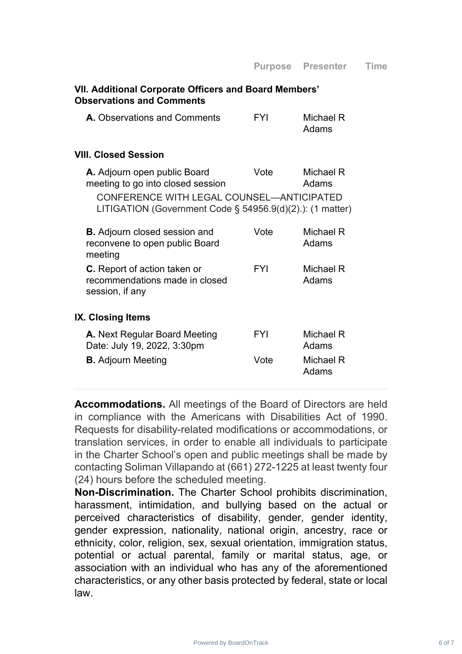### **VII. Additional Corporate Officers and Board Members' Observations and Comments**

| <b>A.</b> Observations and Comments | FYI | Michael R |
|-------------------------------------|-----|-----------|
|                                     |     | Adams     |

### **VIII. Closed Session**

| A. Adjourn open public Board<br>meeting to go into closed session                                      | Vote       | Michael R<br>Adams |
|--------------------------------------------------------------------------------------------------------|------------|--------------------|
| CONFERENCE WITH LEGAL COUNSEL-ANTICIPATED<br>LITIGATION (Government Code § 54956.9(d)(2).): (1 matter) |            |                    |
| <b>B.</b> Adjourn closed session and<br>reconvene to open public Board<br>meeting                      | Vote       | Michael R<br>Adams |
| <b>C.</b> Report of action taken or<br>recommendations made in closed<br>session, if any               | <b>FYI</b> | Michael R<br>Adams |
| <b>IX. Closing Items</b>                                                                               |            |                    |
| <b>A.</b> Next Regular Board Meeting<br>Date: July 19, 2022, 3:30pm                                    | FYI        | Michael R<br>Adams |
| <b>B.</b> Adjourn Meeting                                                                              | Vote       | Michael R<br>Adams |

**Accommodations.** All meetings of the Board of Directors are held in compliance with the Americans with Disabilities Act of 1990. Requests for disability-related modifications or accommodations, or translation services, in order to enable all individuals to participate in the Charter School's open and public meetings shall be made by contacting Soliman Villapando at (661) 272-1225 at least twenty four (24) hours before the scheduled meeting.

**Non-Discrimination.** The Charter School prohibits discrimination, harassment, intimidation, and bullying based on the actual or perceived characteristics of disability, gender, gender identity, gender expression, nationality, national origin, ancestry, race or ethnicity, color, religion, sex, sexual orientation, immigration status, potential or actual parental, family or marital status, age, or association with an individual who has any of the aforementioned characteristics, or any other basis protected by federal, state or local law.